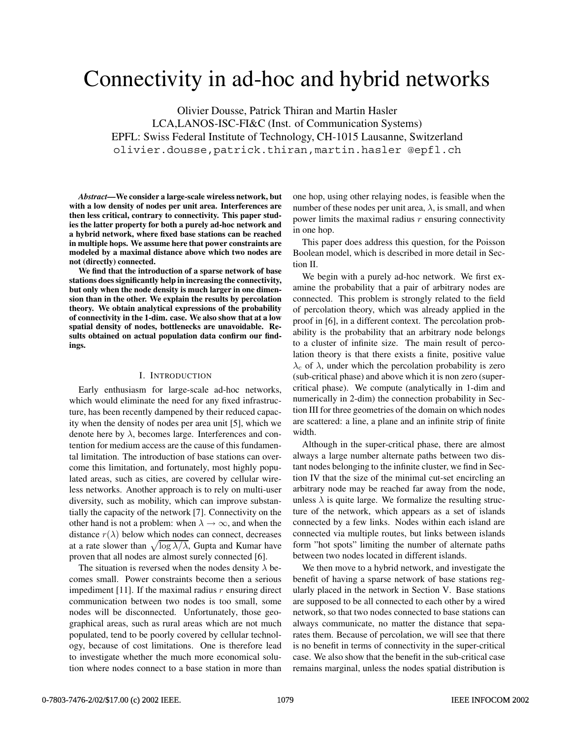# Connectivity in ad-hoc and hybrid networks

Olivier Dousse, Patrick Thiran and Martin Hasler LCA,LANOS-ISC-FI&C (Inst. of Communication Systems) EPFL: Swiss Federal Institute of Technology, CH-1015 Lausanne, Switzerland olivier.dousse,patrick.thiran,martin.hasler @epfl.ch

*Abstract***—We consider a large-scale wireless network, but with a low density of nodes per unit area. Interferences are then less critical, contrary to connectivity. This paper studies the latter property for both a purely ad-hoc network and a hybrid network, where fixed base stations can be reached in multiple hops. We assume here that power constraints are modeled by a maximal distance above which two nodes are not (directly) connected.**

**We find that the introduction of a sparse network of base stations does significantly help in increasing the connectivity, but only when the node density is much larger in one dimension than in the other. We explain the results by percolation theory. We obtain analytical expressions of the probability of connectivity in the 1-dim. case. We also show that at a low spatial density of nodes, bottlenecks are unavoidable. Results obtained on actual population data confirm our findings.**

#### I. INTRODUCTION

Early enthusiasm for large-scale ad-hoc networks, which would eliminate the need for any fixed infrastructure, has been recently dampened by their reduced capacity when the density of nodes per area unit [5], which we denote here by  $\lambda$ , becomes large. Interferences and contention for medium access are the cause of this fundamental limitation. The introduction of base stations can overcome this limitation, and fortunately, most highly populated areas, such as cities, are covered by cellular wireless networks. Another approach is to rely on multi-user diversity, such as mobility, which can improve substantially the capacity of the network [7]. Connectivity on the other hand is not a problem: when  $\lambda \to \infty$ , and when the distance  $r(\lambda)$  below which nodes can connect, decreases at a rate slower than  $\sqrt{\log \lambda/\lambda}$ , Gupta and Kumar have proven that all nodes are almost surely connected [6].

The situation is reversed when the nodes density  $\lambda$  becomes small. Power constraints become then a serious impediment [11]. If the maximal radius  $r$  ensuring direct communication between two nodes is too small, some nodes will be disconnected. Unfortunately, those geographical areas, such as rural areas which are not much populated, tend to be poorly covered by cellular technology, because of cost limitations. One is therefore lead to investigate whether the much more economical solution where nodes connect to a base station in more than

one hop, using other relaying nodes, is feasible when the number of these nodes per unit area,  $\lambda$ , is small, and when power limits the maximal radius  $r$  ensuring connectivity in one hop.

This paper does address this question, for the Poisson Boolean model, which is described in more detail in Section II.

We begin with a purely ad-hoc network. We first examine the probability that a pair of arbitrary nodes are connected. This problem is strongly related to the field of percolation theory, which was already applied in the proof in [6], in a different context. The percolation probability is the probability that an arbitrary node belongs to a cluster of infinite size. The main result of percolation theory is that there exists a finite, positive value  $\lambda_c$  of  $\lambda$ , under which the percolation probability is zero (sub-critical phase) and above which it is non zero (supercritical phase). We compute (analytically in 1-dim and numerically in 2-dim) the connection probability in Section III for three geometries of the domain on which nodes are scattered: a line, a plane and an infinite strip of finite width.

Although in the super-critical phase, there are almost always a large number alternate paths between two distant nodes belonging to the infinite cluster, we find in Section IV that the size of the minimal cut-set encircling an arbitrary node may be reached far away from the node, unless  $\lambda$  is quite large. We formalize the resulting structure of the network, which appears as a set of islands connected by a few links. Nodes within each island are connected via multiple routes, but links between islands form "hot spots" limiting the number of alternate paths between two nodes located in different islands.

We then move to a hybrid network, and investigate the benefit of having a sparse network of base stations regularly placed in the network in Section V. Base stations are supposed to be all connected to each other by a wired network, so that two nodes connected to base stations can always communicate, no matter the distance that separates them. Because of percolation, we will see that there is no benefit in terms of connectivity in the super-critical case. We also show that the benefit in the sub-critical case remains marginal, unless the nodes spatial distribution is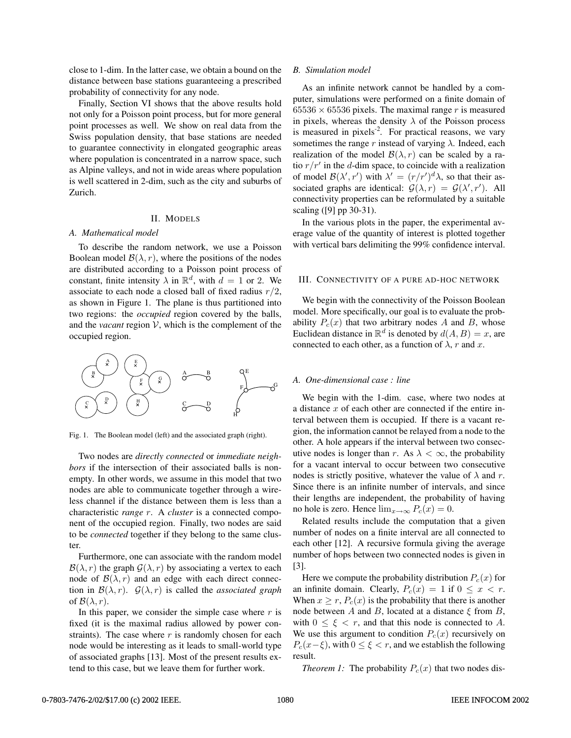close to 1-dim. In the latter case, we obtain a bound on the distance between base stations guaranteeing a prescribed probability of connectivity for any node.

Finally, Section VI shows that the above results hold not only for a Poisson point process, but for more general point processes as well. We show on real data from the Swiss population density, that base stations are needed to guarantee connectivity in elongated geographic areas where population is concentrated in a narrow space, such as Alpine valleys, and not in wide areas where population is well scattered in 2-dim, such as the city and suburbs of Zurich.

#### II. MODELS

### *A. Mathematical model*

To describe the random network, we use a Poisson Boolean model  $\mathcal{B}(\lambda, r)$ , where the positions of the nodes are distributed according to a Poisson point process of constant, finite intensity  $\lambda$  in  $\mathbb{R}^d$ , with  $d = 1$  or 2. We associate to each node a closed ball of fixed radius  $r/2$ , as shown in Figure 1. The plane is thus partitioned into two regions: the *occupied* region covered by the balls, and the *vacant* region  $V$ , which is the complement of the occupied region.



Fig. 1. The Boolean model (left) and the associated graph (right).

Two nodes are *directly connected* or *immediate neighbors* if the intersection of their associated balls is nonempty. In other words, we assume in this model that two nodes are able to communicate together through a wireless channel if the distance between them is less than a characteristic *range* r. A *cluster* is a connected component of the occupied region. Finally, two nodes are said to be *connected* together if they belong to the same cluster.

Furthermore, one can associate with the random model  $\mathcal{B}(\lambda, r)$  the graph  $\mathcal{G}(\lambda, r)$  by associating a vertex to each node of  $\mathcal{B}(\lambda, r)$  and an edge with each direct connection in  $\mathcal{B}(\lambda, r)$ .  $\mathcal{G}(\lambda, r)$  is called the *associated graph* of  $\mathcal{B}(\lambda, r)$ .

In this paper, we consider the simple case where  $r$  is fixed (it is the maximal radius allowed by power constraints). The case where  $r$  is randomly chosen for each node would be interesting as it leads to small-world type of associated graphs [13]. Most of the present results extend to this case, but we leave them for further work.

### *B. Simulation model*

As an infinite network cannot be handled by a computer, simulations were performed on a finite domain of  $65536 \times 65536$  pixels. The maximal range r is measured in pixels, whereas the density  $\lambda$  of the Poisson process is measured in pixels<sup>-2</sup>. For practical reasons, we vary sometimes the range r instead of varying  $\lambda$ . Indeed, each realization of the model  $\mathcal{B}(\lambda, r)$  can be scaled by a ratio  $r/r'$  in the d-dim space, to coincide with a realization of model  $\mathcal{B}(\lambda', r')$  with  $\lambda' = (r/r')^d \lambda$ , so that their as-<br>sociated graphs are identical:  $\mathcal{G}(\lambda, r) = \mathcal{G}(\lambda', r')$  All sociated graphs are identical:  $\mathcal{G}(\lambda, r) = \mathcal{G}(\lambda', r')$ . All<br>connectivity properties can be reformulated by a suitable connectivity properties can be reformulated by a suitable scaling ([9] pp 30-31).

In the various plots in the paper, the experimental average value of the quantity of interest is plotted together with vertical bars delimiting the 99% confidence interval.

# III. CONNECTIVITY OF A PURE AD-HOC NETWORK

We begin with the connectivity of the Poisson Boolean model. More specifically, our goal is to evaluate the probability  $P_c(x)$  that two arbitrary nodes A and B, whose Euclidean distance in  $\mathbb{R}^d$  is denoted by  $d(A, B) = x$ , are connected to each other, as a function of  $\lambda$ , r and x.

# *A. One-dimensional case : line*

We begin with the 1-dim. case, where two nodes at a distance  $x$  of each other are connected if the entire interval between them is occupied. If there is a vacant region, the information cannot be relayed from a node to the other. A hole appears if the interval between two consecutive nodes is longer than r. As  $\lambda < \infty$ , the probability for a vacant interval to occur between two consecutive nodes is strictly positive, whatever the value of  $\lambda$  and r. Since there is an infinite number of intervals, and since their lengths are independent, the probability of having no hole is zero. Hence  $\lim_{x\to\infty} P_c(x)=0$ .

Related results include the computation that a given number of nodes on a finite interval are all connected to each other [12]. A recursive formula giving the average number of hops between two connected nodes is given in [3].

Here we compute the probability distribution  $P_c(x)$  for an infinite domain. Clearly,  $P_c(x) = 1$  if  $0 \le x < r$ . When  $x \ge r$ ,  $P_c(x)$  is the probability that there is another node between A and B, located at a distance  $\xi$  from B, with  $0 \leq \xi < r$ , and that this node is connected to A. We use this argument to condition  $P_c(x)$  recursively on  $P_c(x-\xi)$ , with  $0 \leq \xi < r$ , and we establish the following result.

*Theorem 1:* The probability  $P_c(x)$  that two nodes dis-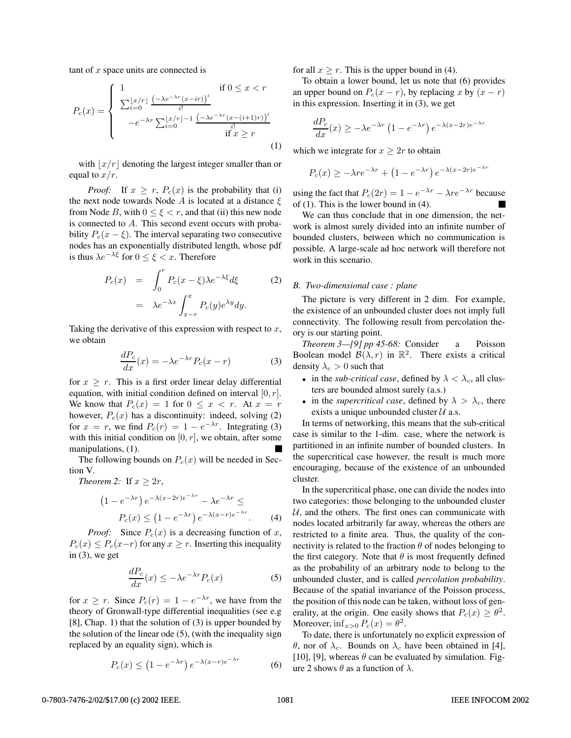tant of  $x$  space units are connected is

$$
P_c(x) = \begin{cases} 1 & \text{if } 0 \le x < r \\ \sum_{i=0}^{\lfloor x/r \rfloor} \frac{\left(-\lambda e^{-\lambda r} (x - ir)\right)^i}{i!} \\ -e^{-\lambda r} \sum_{i=0}^{\lfloor x/r \rfloor - 1} \frac{\left(-\lambda e^{-\lambda r} (x - (i+1)r)\right)^i}{i!} \\ \text{if } x \ge r \end{cases} \tag{1}
$$

with  $\lfloor x/r \rfloor$  denoting the largest integer smaller than or equal to  $x/r$ .

*Proof:* If  $x \geq r$ ,  $P_c(x)$  is the probability that (i) the next node towards Node A is located at a distance  $\xi$ from Node B, with  $0 \le \xi < r$ , and that (ii) this new node is connected to A. This second event occurs with probability  $P_c(x - \xi)$ . The interval separating two consecutive nodes has an exponentially distributed length, whose pdf is thus  $\lambda e^{-\lambda \xi}$  for  $0 \leq \xi < x$ . Therefore

$$
P_c(x) = \int_0^r P_c(x - \xi) \lambda e^{-\lambda \xi} d\xi
$$
 (2)  
=  $\lambda e^{-\lambda x} \int_{x-r}^x P_c(y) e^{\lambda y} dy.$ 

Taking the derivative of this expression with respect to  $x$ , we obtain

$$
\frac{dP_c}{dx}(x) = -\lambda e^{-\lambda r} P_c(x - r)
$$
\n(3)

for  $x \geq r$ . This is a first order linear delay differential equation, with initial condition defined on interval  $[0, r]$ . We know that  $P_c(x)=1$  for  $0 \le x < r$ . At  $x = r$ however,  $P_c(x)$  has a discontinuity: indeed, solving (2) for  $x = r$ , we find  $P_c(r) = 1 - e^{-\lambda r}$ . Integrating (3) with this initial condition on  $[0, r]$ , we obtain, after some manipulations, (1).

The following bounds on  $P_c(x)$  will be needed in Section V.

*Theorem 2:* If  $x \geq 2r$ ,

$$
(1 - e^{-\lambda r}) e^{-\lambda (x - 2r)e^{-\lambda r}} - \lambda e^{-\lambda r} \le
$$
  
\n
$$
P_c(x) \le (1 - e^{-\lambda r}) e^{-\lambda (x - r)e^{-\lambda r}}.
$$
 (4)

*Proof:* Since  $P_c(x)$  is a decreasing function of x,  $P_c(x) \leq P_c(x-r)$  for any  $x \geq r$ . Inserting this inequality in  $(3)$ , we get

$$
\frac{dP_c}{dx}(x) \le -\lambda e^{-\lambda r} P_c(x) \tag{5}
$$

for  $x \ge r$ . Since  $P_c(r) = 1 - e^{-\lambda r}$ , we have from the theory of Gronwall-type differential inequalities (see e.g [8], Chap. 1) that the solution of (3) is upper bounded by the solution of the linear ode (5), (with the inequality sign replaced by an equality sign), which is

$$
P_c(x) \le \left(1 - e^{-\lambda r}\right) e^{-\lambda (x - r)e^{-\lambda r}} \tag{6}
$$

for all  $x \ge r$ . This is the upper bound in (4).

To obtain a lower bound, let us note that (6) provides an upper bound on  $P_c(x - r)$ , by replacing x by  $(x - r)$ in this expression. Inserting it in (3), we get

$$
\frac{dP_c}{dx}(x) \ge -\lambda e^{-\lambda r} \left(1 - e^{-\lambda r}\right) e^{-\lambda (x - 2r)e^{-\lambda r}}
$$

which we integrate for  $x \geq 2r$  to obtain

$$
P_c(x) \ge -\lambda r e^{-\lambda r} + (1 - e^{-\lambda r}) e^{-\lambda (x - 2r) e^{-\lambda r}}
$$

using the fact that  $P_c(2r)=1 - e^{-\lambda r} - \lambda r e^{-\lambda r}$  because of (1). This is the lower bound in (4).

We can thus conclude that in one dimension, the network is almost surely divided into an infinite number of bounded clusters, between which no communication is possible. A large-scale ad hoc network will therefore not work in this scenario.

## *B. Two-dimensional case : plane*

The picture is very different in 2 dim. For example, the existence of an unbounded cluster does not imply full connectivity. The following result from percolation theory is our starting point.

*Theorem 3—[9] pp 45-68:* Consider a Poisson Boolean model  $\mathcal{B}(\lambda, r)$  in  $\mathbb{R}^2$ . There exists a critical density  $\lambda_c > 0$  such that

- in the *sub-critical case*, defined by  $\lambda < \lambda_c$ , all clusters are bounded almost surely (a.s.)
- in the *supercritical case*, defined by  $\lambda > \lambda_c$ , there exists a unique unbounded cluster  $U$  a.s.

In terms of networking, this means that the sub-critical case is similar to the 1-dim. case, where the network is partitioned in an infinite number of bounded clusters. In the supercritical case however, the result is much more encouraging, because of the existence of an unbounded cluster.

In the supercritical phase, one can divide the nodes into two categories: those belonging to the unbounded cluster  $U$ , and the others. The first ones can communicate with nodes located arbitrarily far away, whereas the others are restricted to a finite area. Thus, the quality of the connectivity is related to the fraction  $\theta$  of nodes belonging to the first category. Note that  $\theta$  is most frequently defined as the probability of an arbitrary node to belong to the unbounded cluster, and is called *percolation probability*. Because of the spatial invariance of the Poisson process, the position of this node can be taken, without loss of generality, at the origin. One easily shows that  $P_c(x) \geq \theta^2$ . Moreover,  $\inf_{x>0} P_c(x) = \theta^2$ .

To date, there is unfortunately no explicit expression of θ, nor of  $\lambda_c$ . Bounds on  $\lambda_c$  have been obtained in [4], [10], [9], whereas  $\theta$  can be evaluated by simulation. Figure 2 shows  $\theta$  as a function of  $\lambda$ .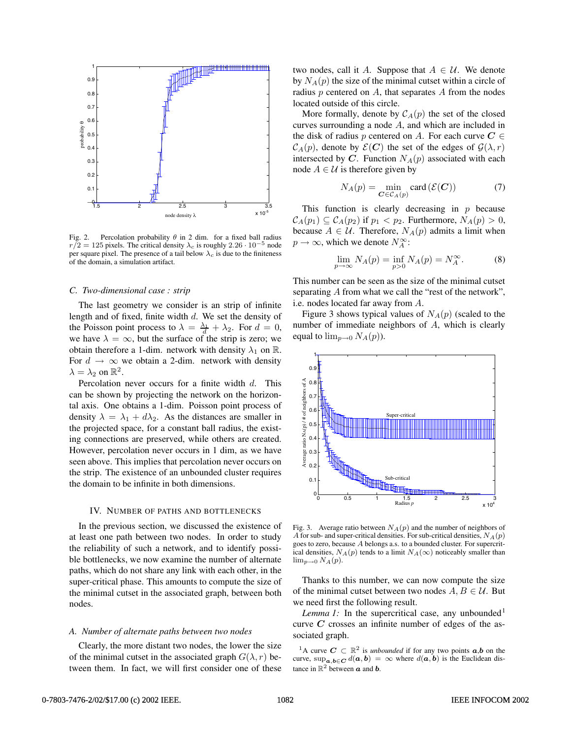

Fig. 2. Percolation probability  $\theta$  in 2 dim. for a fixed ball radius  $r/2 = 125$  pixels. The critical density  $\lambda_c$  is roughly  $2.26 \cdot 10^{-5}$  node per square pixel. The presence of a tail below  $\lambda_c$  is due to the finiteness of the domain, a simulation artifact.

# *C. Two-dimensional case : strip*

The last geometry we consider is an strip of infinite length and of fixed, finite width d. We set the density of the Poisson point process to  $\lambda = \frac{\lambda_1}{d} + \lambda_2$ . For  $d = 0$ , we have  $\lambda = \infty$  but the surface of the strip is zero; we we have  $\lambda = \infty$ , but the surface of the strip is zero; we obtain therefore a 1-dim. network with density  $\lambda_1$  on R. For  $d \to \infty$  we obtain a 2-dim. network with density  $\lambda = \lambda_2$  on  $\mathbb{R}^2$ .

Percolation never occurs for a finite width d. This can be shown by projecting the network on the horizontal axis. One obtains a 1-dim. Poisson point process of density  $\lambda = \lambda_1 + d\lambda_2$ . As the distances are smaller in the projected space, for a constant ball radius, the existing connections are preserved, while others are created. However, percolation never occurs in 1 dim, as we have seen above. This implies that percolation never occurs on the strip. The existence of an unbounded cluster requires the domain to be infinite in both dimensions.

#### IV. NUMBER OF PATHS AND BOTTLENECKS

In the previous section, we discussed the existence of at least one path between two nodes. In order to study the reliability of such a network, and to identify possible bottlenecks, we now examine the number of alternate paths, which do not share any link with each other, in the super-critical phase. This amounts to compute the size of the minimal cutset in the associated graph, between both nodes.

#### *A. Number of alternate paths between two nodes*

Clearly, the more distant two nodes, the lower the size of the minimal cutset in the associated graph  $G(\lambda, r)$  between them. In fact, we will first consider one of these

two nodes, call it A. Suppose that  $A \in \mathcal{U}$ . We denote by  $N_A(p)$  the size of the minimal cutset within a circle of radius  $p$  centered on  $A$ , that separates  $A$  from the nodes located outside of this circle.

More formally, denote by  $C_A(p)$  the set of the closed curves surrounding a node A, and which are included in the disk of radius p centered on A. For each curve  $C \in$  $\mathcal{C}_A(p)$ , denote by  $\mathcal{E}(C)$  the set of the edges of  $\mathcal{G}(\lambda, r)$ intersected by  $C$ . Function  $N_A(p)$  associated with each node  $A \in \mathcal{U}$  is therefore given by

$$
N_A(p) = \min_{\mathbf{C} \in \mathcal{C}_A(p)} \text{card} \left( \mathcal{E}(\mathbf{C}) \right) \tag{7}
$$

This function is clearly decreasing in  $p$  because  $C_A(p_1) \subseteq C_A(p_2)$  if  $p_1 < p_2$ . Furthermore,  $N_A(p) > 0$ , because  $A \in \mathcal{U}$ . Therefore,  $N_A(p)$  admits a limit when  $p \to \infty$ , which we denote  $N_A^{\infty}$ :

$$
\lim_{p \to \infty} N_A(p) = \inf_{p > 0} N_A(p) = N_A^{\infty}.
$$
 (8)

This number can be seen as the size of the minimal cutset separating A from what we call the "rest of the network", i.e. nodes located far away from A.

Figure 3 shows typical values of  $N_A(p)$  (scaled to the number of immediate neighbors of A, which is clearly equal to  $\lim_{p\to 0} N_A(p)$ ).



Fig. 3. Average ratio between  $N_A(p)$  and the number of neighbors of A for sub- and super-critical densities. For sub-critical densities,  $N_A(p)$ goes to zero, because A belongs a.s. to a bounded cluster. For supercritical densities,  $N_A(p)$  tends to a limit  $N_A(\infty)$  noticeably smaller than  $\lim_{p\to 0} N_A(p)$ .

Thanks to this number, we can now compute the size of the minimal cutset between two nodes  $A, B \in \mathcal{U}$ . But we need first the following result.

*Lemma 1:* In the supercritical case, any unbounded<sup>1</sup> curve  $C$  crosses an infinite number of edges of the associated graph.

<sup>1</sup>A curve  $C \subset \mathbb{R}^2$  is *unbounded* if for any two points  $a,b$  on the curve, sup $_{a,b\in C} d(a,b) = \infty$  where  $d(a,b)$  is the Euclidean distance in  $\mathbb{R}^2$  between  $\boldsymbol{a}$  and  $\boldsymbol{b}$ .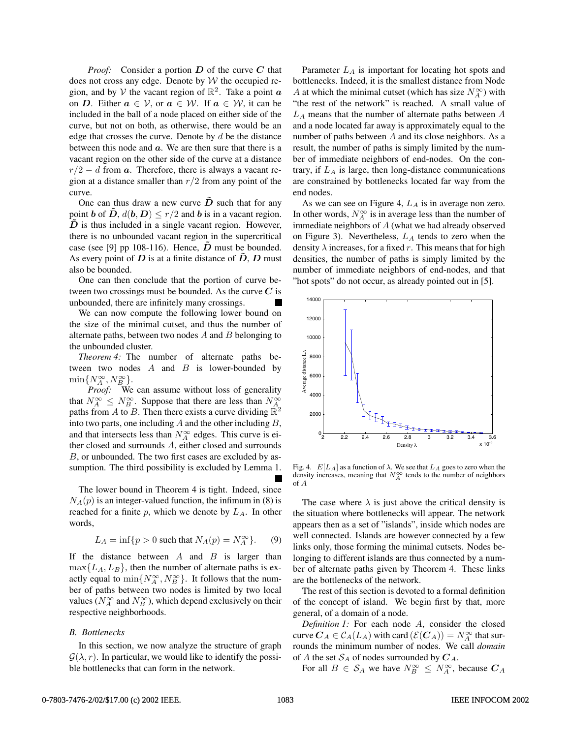*Proof:* Consider a portion **D** of the curve **C** that does not cross any edge. Denote by  $W$  the occupied region, and by V the vacant region of  $\mathbb{R}^2$ . Take a point  $\boldsymbol{a}$ on **D**. Either  $a \in V$ , or  $a \in W$ . If  $a \in W$ , it can be included in the ball of a node placed on either side of the curve, but not on both, as otherwise, there would be an edge that crosses the curve. Denote by  $d$  be the distance between this node and **a**. We are then sure that there is a vacant region on the other side of the curve at a distance  $r/2 - d$  from  $\boldsymbol{a}$ . Therefore, there is always a vacant region at a distance smaller than  $r/2$  from any point of the curve.

One can thus draw a new curve  $\tilde{D}$  such that for any point **b** of  $\overline{D}$ ,  $d(\mathbf{b}, D) \leq r/2$  and **b** is in a vacant region.  $\overrightarrow{D}$  is thus included in a single vacant region. However, there is no unbounded vacant region in the supercritical case (see [9] pp 108-116). Hence,  $D$  must be bounded. As every point of  $D$  is at a finite distance of  $\ddot{D}$ ,  $D$  must also be bounded.

One can then conclude that the portion of curve between two crossings must be bounded. As the curve  $C$  is unbounded, there are infinitely many crossings.

We can now compute the following lower bound on the size of the minimal cutset, and thus the number of alternate paths, between two nodes  $A$  and  $B$  belonging to the unbounded cluster.

*Theorem 4:* The number of alternate paths between two nodes  $A$  and  $B$  is lower-bounded by  $\min\{N_A^{\infty}, N_B^{\infty}\}.$ <br>Proof: We

*Proof:* We can assume without loss of generality that  $N_A^{\infty} \leq N_B^{\infty}$ . Suppose that there are less than  $N_A^{\infty}$ paths from A to B. Then there exists a curve dividing  $\mathbb{R}^2$ into two parts, one including  $A$  and the other including  $B$ , and that intersects less than  $N_A^{\infty}$  edges. This curve is either closed and surrounds A, either closed and surrounds B, or unbounded. The two first cases are excluded by assumption. The third possibility is excluded by Lemma 1.

The lower bound in Theorem 4 is tight. Indeed, since  $N_A(p)$  is an integer-valued function, the infimum in (8) is reached for a finite  $p$ , which we denote by  $L_A$ . In other words,

$$
L_A = \inf\{p > 0 \text{ such that } N_A(p) = N_A^{\infty}\}. \tag{9}
$$

If the distance between  $A$  and  $B$  is larger than  $\max\{L_A, L_B\}$ , then the number of alternate paths is exactly equal to  $\min\{N_A^{\infty}, N_B^{\infty}\}\$ . It follows that the num-<br>her of paths between two podes is limited by two local ber of paths between two nodes is limited by two local values ( $N_A^{\infty}$  and  $N_B^{\infty}$ ), which depend exclusively on their respective neighborhoods.

# *B. Bottlenecks*

In this section, we now analyze the structure of graph  $G(\lambda, r)$ . In particular, we would like to identify the possible bottlenecks that can form in the network.

Parameter  $L_A$  is important for locating hot spots and bottlenecks. Indeed, it is the smallest distance from Node A at which the minimal cutset (which has size  $N_A^{\infty}$ ) with "the rest of the network" is reached. A small value of  $L_A$  means that the number of alternate paths between  $A$ and a node located far away is approximately equal to the number of paths between  $A$  and its close neighbors. As a result, the number of paths is simply limited by the number of immediate neighbors of end-nodes. On the contrary, if  $L_A$  is large, then long-distance communications are constrained by bottlenecks located far way from the end nodes.

As we can see on Figure 4,  $L_A$  is in average non zero. In other words,  $N_A^{\infty}$  is in average less than the number of immediate neighbors of  $A$  (what we had already observed on Figure 3). Nevertheless,  $L_A$  tends to zero when the density  $\lambda$  increases, for a fixed r. This means that for high densities, the number of paths is simply limited by the number of immediate neighbors of end-nodes, and that "hot spots" do not occur, as already pointed out in [5].



Fig. 4.  $E[L_A]$  as a function of  $\lambda$ . We see that  $L_A$  goes to zero when the density increases, meaning that  $N_A^{\infty}$  tends to the number of neighbors of A

The case where  $\lambda$  is just above the critical density is the situation where bottlenecks will appear. The network appears then as a set of "islands", inside which nodes are well connected. Islands are however connected by a few links only, those forming the minimal cutsets. Nodes belonging to different islands are thus connected by a number of alternate paths given by Theorem 4. These links are the bottlenecks of the network.

The rest of this section is devoted to a formal definition of the concept of island. We begin first by that, more general, of a domain of a node.

*Definition 1:* For each node A, consider the closed curve  $C_A \in C_A(L_A)$  with card  $(\mathcal{E}(C_A)) = N_A^{\infty}$  that sur-<br>rounds the minimum number of nodes. We call domain rounds the minimum number of nodes. We call *domain* of A the set  $S_A$  of nodes surrounded by  $C_A$ .

For all  $B \in S_A$  we have  $N_B^{\infty} \le N_A^{\infty}$ , because  $C_A$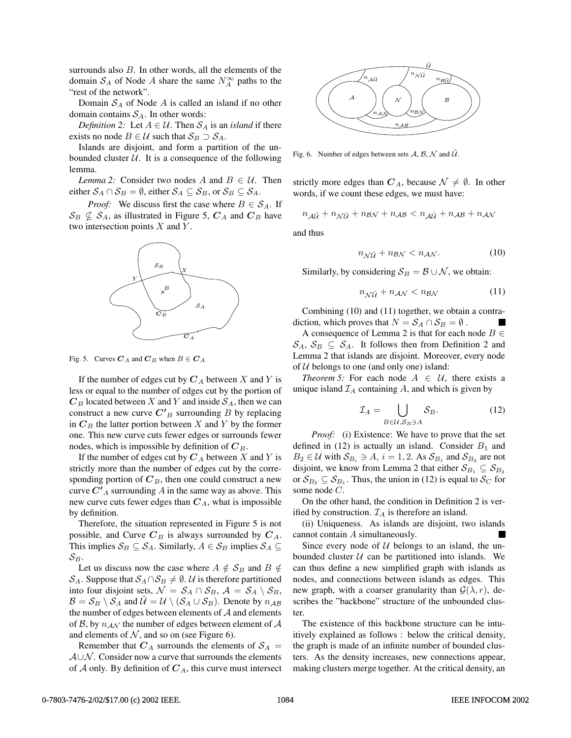surrounds also  $B$ . In other words, all the elements of the domain  $S_A$  of Node A share the same  $N_A^{\infty}$  paths to the "rest of the network".

Domain  $S_A$  of Node  $A$  is called an island if no other domain contains  $S_A$ . In other words:

*Definition 2:* Let  $A \in \mathcal{U}$ . Then  $S_A$  is an *island* if there exists no node  $B \in \mathcal{U}$  such that  $S_B \supset S_A$ .

Islands are disjoint, and form a partition of the unbounded cluster  $U$ . It is a consequence of the following lemma.

*Lemma 2:* Consider two nodes A and  $B \in U$ . Then either  $S_A \cap S_B = \emptyset$ , either  $S_A \subseteq S_B$ , or  $S_B \subseteq S_A$ .

*Proof:* We discuss first the case where  $B \in S_A$ . If  $\mathcal{S}_B \nsubseteq \mathcal{S}_A$ , as illustrated in Figure 5,  $C_A$  and  $C_B$  have two intersection points  $X$  and  $Y$ .



Fig. 5. Curves  $C_A$  and  $C_B$  when  $B \in C_A$ 

If the number of edges cut by  $C_A$  between X and Y is less or equal to the number of edges cut by the portion of  $C_B$  located between X and Y and inside  $S_A$ , then we can construct a new curve  $C<sup>T</sup><sub>B</sub>$  surrounding B by replacing in  $C_B$  the latter portion between X and Y by the former one. This new curve cuts fewer edges or surrounds fewer nodes, which is impossible by definition of  $C_B$ .

If the number of edges cut by  $C_A$  between X and Y is strictly more than the number of edges cut by the corresponding portion of  $C_B$ , then one could construct a new curve  $C'$ <sub>A</sub> surrounding A in the same way as above. This new curve cuts fewer edges than  $C_A$ , what is impossible by definition.

Therefore, the situation represented in Figure 5 is not possible, and Curve  $C_B$  is always surrounded by  $C_A$ . This implies  $S_B \subseteq S_A$ . Similarly,  $A \in S_B$  implies  $S_A \subseteq$  $\mathcal{S}_B$ .

Let us discuss now the case where  $A \notin S_B$  and  $B \notin \mathcal{E}$ S<sub>A</sub>. Suppose that  $S_A \cap S_B \neq \emptyset$ . U is therefore partitioned into four disjoint sets,  $\mathcal{N} = \mathcal{S}_A \cap \mathcal{S}_B$ ,  $\mathcal{A} = \mathcal{S}_A \setminus \mathcal{S}_B$ ,  $\mathcal{B} = \mathcal{S}_B \setminus \mathcal{S}_A$  and  $\mathcal{U} = \mathcal{U} \setminus (\mathcal{S}_A \cup \mathcal{S}_B)$ . Denote by  $n_{AB}$ the number of edges between elements of  $A$  and elements of B, by  $n_{AN}$  the number of edges between element of A and elements of  $N$ , and so on (see Figure 6).

Remember that  $C_A$  surrounds the elements of  $S_A$  =  $A\cup N$ . Consider now a curve that surrounds the elements of  $\mathcal A$  only. By definition of  $C_A$ , this curve must intersect



Fig. 6. Number of edges between sets  $A$ ,  $B$ ,  $N$  and  $\tilde{U}$ .

strictly more edges than  $C_A$ , because  $\mathcal{N} \neq \emptyset$ . In other words, if we count these edges, we must have:

$$
n_{\mathcal{A}\tilde{\mathcal{U}}}+n_{\mathcal{N}\tilde{\mathcal{U}}}+n_{\mathcal{B}\mathcal{N}}+n_{\mathcal{A}\mathcal{B}}
$$

and thus

$$
n_{\mathcal{N}\tilde{\mathcal{U}}} + n_{\mathcal{B}\mathcal{N}} < n_{\mathcal{A}\mathcal{N}}.\tag{10}
$$

Similarly, by considering  $S_B = B \cup N$ , we obtain:

$$
n_{\mathcal{N}\tilde{\mathcal{U}}} + n_{\mathcal{A}\mathcal{N}} < n_{\mathcal{B}\mathcal{N}} \tag{11}
$$

Combining (10) and (11) together, we obtain a contradiction, which proves that  $N = S_A \cap S_B = \emptyset$ .

A consequence of Lemma 2 is that for each node  $B \in$  $\mathcal{S}_A, \mathcal{S}_B \subseteq \mathcal{S}_A$ . It follows then from Definition 2 and Lemma 2 that islands are disjoint. Moreover, every node of  $U$  belongs to one (and only one) island:

*Theorem 5:* For each node  $A \in \mathcal{U}$ , there exists a unique island  $\mathcal{I}_A$  containing  $A$ , and which is given by

$$
\mathcal{I}_A = \bigcup_{B \in \mathcal{U}, S_B \ni A} S_B. \tag{12}
$$

*Proof:* (i) Existence: We have to prove that the set defined in (12) is actually an island. Consider  $B_1$  and  $B_2 \in \mathcal{U}$  with  $\mathcal{S}_{B_i} \ni A, i = 1, 2$ . As  $\mathcal{S}_{B_1}$  and  $\mathcal{S}_{B_2}$  are not disjoint, we know from Lemma 2 that either  $S_{B_1} \subseteq S_{B_2}$ or  $S_{B_2} \subseteq S_{B_1}$ . Thus, the union in (12) is equal to  $S_C$  for some node C.

On the other hand, the condition in Definition 2 is verified by construction.  $\mathcal{I}_A$  is therefore an island.

(ii) Uniqueness. As islands are disjoint, two islands cannot contain A simultaneously.

Since every node of  $U$  belongs to an island, the unbounded cluster  $U$  can be partitioned into islands. We can thus define a new simplified graph with islands as nodes, and connections between islands as edges. This new graph, with a coarser granularity than  $G(\lambda, r)$ , describes the "backbone" structure of the unbounded cluster.

The existence of this backbone structure can be intuitively explained as follows : below the critical density, the graph is made of an infinite number of bounded clusters. As the density increases, new connections appear, making clusters merge together. At the critical density, an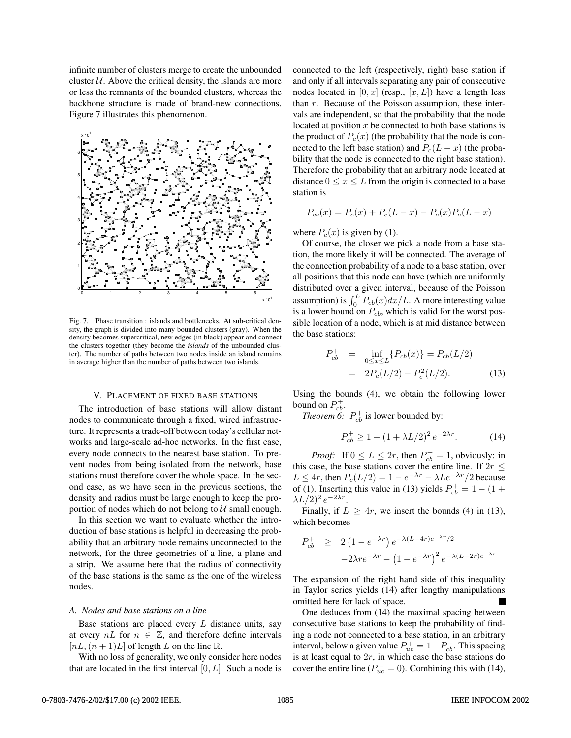infinite number of clusters merge to create the unbounded cluster  $U$ . Above the critical density, the islands are more or less the remnants of the bounded clusters, whereas the backbone structure is made of brand-new connections. Figure 7 illustrates this phenomenon.



Fig. 7. Phase transition : islands and bottlenecks. At sub-critical density, the graph is divided into many bounded clusters (gray). When the density becomes supercritical, new edges (in black) appear and connect the clusters together (they become the *islands* of the unbounded cluster). The number of paths between two nodes inside an island remains in average higher than the number of paths between two islands.

### V. PLACEMENT OF FIXED BASE STATIONS

The introduction of base stations will allow distant nodes to communicate through a fixed, wired infrastructure. It represents a trade-off between today's cellular networks and large-scale ad-hoc networks. In the first case, every node connects to the nearest base station. To prevent nodes from being isolated from the network, base stations must therefore cover the whole space. In the second case, as we have seen in the previous sections, the density and radius must be large enough to keep the proportion of nodes which do not belong to  $U$  small enough.

In this section we want to evaluate whether the introduction of base stations is helpful in decreasing the probability that an arbitrary node remains unconnected to the network, for the three geometries of a line, a plane and a strip. We assume here that the radius of connectivity of the base stations is the same as the one of the wireless nodes.

# *A. Nodes and base stations on a line*

Base stations are placed every  $L$  distance units, say at every  $nL$  for  $n \in \mathbb{Z}$ , and therefore define intervals  $[nL,(n+1)L]$  of length L on the line R.

With no loss of generality, we only consider here nodes that are located in the first interval  $[0, L]$ . Such a node is connected to the left (respectively, right) base station if and only if all intervals separating any pair of consecutive nodes located in  $[0, x]$  (resp.,  $[x, L]$ ) have a length less than  $r$ . Because of the Poisson assumption, these intervals are independent, so that the probability that the node located at position  $x$  be connected to both base stations is the product of  $P_c(x)$  (the probability that the node is connected to the left base station) and  $P_c(L - x)$  (the probability that the node is connected to the right base station). Therefore the probability that an arbitrary node located at distance  $0 \leq x \leq L$  from the origin is connected to a base station is

$$
P_{cb}(x) = P_c(x) + P_c(L - x) - P_c(x)P_c(L - x)
$$

where  $P_c(x)$  is given by (1).

Of course, the closer we pick a node from a base station, the more likely it will be connected. The average of the connection probability of a node to a base station, over all positions that this node can have (which are uniformly distributed over a given interval, because of the Poisson assumption) is  $\int_0^L P_{cb}(x)dx/L$ . A more interesting value is a lower bound on  $P_{cb}$ , which is valid for the worst possible location of a node, which is at mid distance between the base stations:

$$
P_{cb}^{+} = \inf_{0 \le x \le L} \{ P_{cb}(x) \} = P_{cb}(L/2)
$$
  
= 
$$
2P_{c}(L/2) - P_{c}^{2}(L/2).
$$
 (13)

Using the bounds (4), we obtain the following lower bound on  $P_{cb}^+$ .

*Theorem 6:*  $P_{cb}^{+}$  is lower bounded by:

$$
P_{cb}^{+} \ge 1 - (1 + \lambda L/2)^{2} e^{-2\lambda r}.
$$
 (14)

*Proof:* If  $0 \le L \le 2r$ , then  $P_{cb}^+ = 1$ , obviously: in this case, the base stations cover the entire line. If  $2r \leq L \leq 4r$  then  $P(L/2) = 1 - e^{-\lambda r} - \lambda L e^{-\lambda r}$  because  $L \leq 4r$ , then  $P_c(L/2) = 1 - e^{-\lambda r} - \lambda Le^{-\lambda r}/2$  because<br>of (1) Inserting this value in (13) vields  $P^+ - 1 - (1 +$ of (1). Inserting this value in (13) yields  $P_{cb}^+ = 1 - (1 + \lambda L/2)^2 e^{-2\lambda r}$  $(\lambda L/2)^2 e^{-2\lambda r}$ .

Finally, if  $L \geq 4r$ , we insert the bounds (4) in (13), which becomes

$$
P_{cb}^{+} \geq 2 (1 - e^{-\lambda r}) e^{-\lambda (L - 4r) e^{-\lambda r}/2}
$$

$$
-2\lambda r e^{-\lambda r} - (1 - e^{-\lambda r})^2 e^{-\lambda (L - 2r) e^{-\lambda r}}
$$

The expansion of the right hand side of this inequality in Taylor series yields (14) after lengthy manipulations omitted here for lack of space.

One deduces from (14) the maximal spacing between consecutive base stations to keep the probability of finding a node not connected to a base station, in an arbitrary interval, below a given value  $P_{\text{ub}}^{\perp} = 1 - P_{\text{cb}}^{\perp}$ . This spacing<br>is at least equal to  $2r$ , in which case the base stations do is at least equal to  $2r$ , in which case the base stations do cover the entire line ( $P_{uc}^+ = 0$ ). Combining this with (14),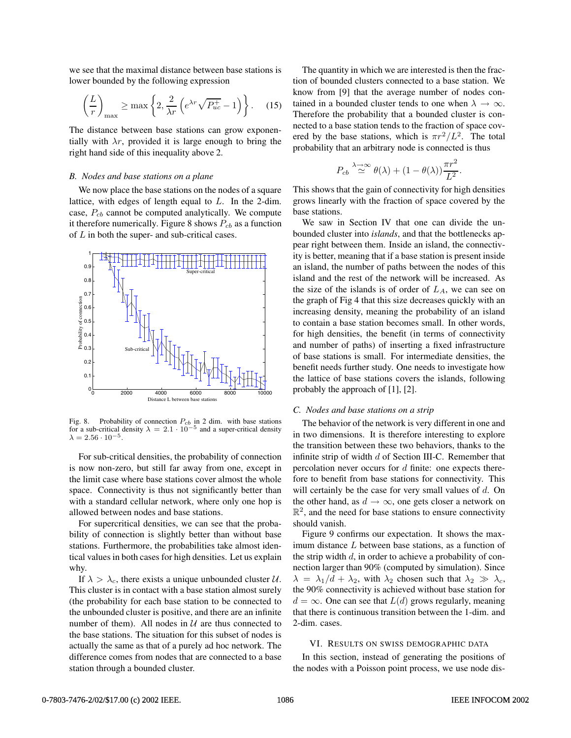we see that the maximal distance between base stations is lower bounded by the following expression

$$
\left(\frac{L}{r}\right)_{\text{max}} \ge \max\left\{2, \frac{2}{\lambda r} \left(e^{\lambda r} \sqrt{P_{uc}^{+}} - 1\right)\right\}.
$$
 (15)

The distance between base stations can grow exponentially with  $\lambda r$ , provided it is large enough to bring the right hand side of this inequality above 2.

#### *B. Nodes and base stations on a plane*

We now place the base stations on the nodes of a square lattice, with edges of length equal to L. In the 2-dim. case,  $P_{cb}$  cannot be computed analytically. We compute it therefore numerically. Figure 8 shows  $P_{cb}$  as a function of  $L$  in both the super- and sub-critical cases.



Fig. 8. Probability of connection  $P_{cb}$  in 2 dim. with base stations for a sub-critical density  $\lambda = 2.1 \cdot 10^{-5}$  and a super-critical density  $\lambda = 2.56 \cdot 10^{-5}$ 

For sub-critical densities, the probability of connection is now non-zero, but still far away from one, except in the limit case where base stations cover almost the whole space. Connectivity is thus not significantly better than with a standard cellular network, where only one hop is allowed between nodes and base stations.

For supercritical densities, we can see that the probability of connection is slightly better than without base stations. Furthermore, the probabilities take almost identical values in both cases for high densities. Let us explain why.

If  $\lambda > \lambda_c$ , there exists a unique unbounded cluster U. This cluster is in contact with a base station almost surely (the probability for each base station to be connected to the unbounded cluster is positive, and there are an infinite number of them). All nodes in  $U$  are thus connected to the base stations. The situation for this subset of nodes is actually the same as that of a purely ad hoc network. The difference comes from nodes that are connected to a base station through a bounded cluster.

The quantity in which we are interested is then the fraction of bounded clusters connected to a base station. We know from [9] that the average number of nodes contained in a bounded cluster tends to one when  $\lambda \to \infty$ . Therefore the probability that a bounded cluster is connected to a base station tends to the fraction of space covered by the base stations, which is  $\pi r^2/L^2$ . The total probability that an arbitrary node is connected is thus

$$
P_{cb} \stackrel{\lambda \to \infty}{\simeq} \theta(\lambda) + (1 - \theta(\lambda)) \frac{\pi r^2}{L^2}.
$$

This shows that the gain of connectivity for high densities grows linearly with the fraction of space covered by the base stations.

We saw in Section IV that one can divide the unbounded cluster into *islands*, and that the bottlenecks appear right between them. Inside an island, the connectivity is better, meaning that if a base station is present inside an island, the number of paths between the nodes of this island and the rest of the network will be increased. As the size of the islands is of order of  $L_A$ , we can see on the graph of Fig 4 that this size decreases quickly with an increasing density, meaning the probability of an island to contain a base station becomes small. In other words, for high densities, the benefit (in terms of connectivity and number of paths) of inserting a fixed infrastructure of base stations is small. For intermediate densities, the benefit needs further study. One needs to investigate how the lattice of base stations covers the islands, following probably the approach of [1], [2].

## *C. Nodes and base stations on a strip*

The behavior of the network is very different in one and in two dimensions. It is therefore interesting to explore the transition between these two behaviors, thanks to the infinite strip of width  $d$  of Section III-C. Remember that percolation never occurs for  $d$  finite: one expects therefore to benefit from base stations for connectivity. This will certainly be the case for very small values of  $d$ . On the other hand, as  $d \rightarrow \infty$ , one gets closer a network on  $\mathbb{R}^2$ , and the need for base stations to ensure connectivity should vanish.

Figure 9 confirms our expectation. It shows the maximum distance L between base stations, as a function of the strip width  $d$ , in order to achieve a probability of connection larger than 90% (computed by simulation). Since  $\lambda = \lambda_1/d + \lambda_2$ , with  $\lambda_2$  chosen such that  $\lambda_2 \gg \lambda_c$ , the 90% connectivity is achieved without base station for  $d = \infty$ . One can see that  $L(d)$  grows regularly, meaning that there is continuous transition between the 1-dim. and 2-dim. cases.

#### VI. RESULTS ON SWISS DEMOGRAPHIC DATA

In this section, instead of generating the positions of the nodes with a Poisson point process, we use node dis-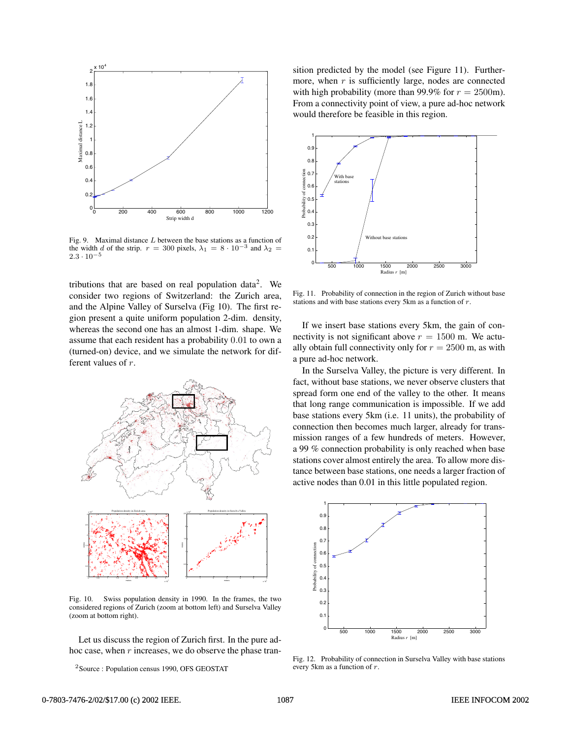

Fig. 9. Maximal distance  $L$  between the base stations as a function of the width d of the strip.  $r = 300$  pixels,  $\lambda_1 = 8 \cdot 10^{-3}$  and  $\lambda_2 =$  $2.3 \cdot 10^{-5}$ 

tributions that are based on real population data<sup>2</sup>. We consider two regions of Switzerland: the Zurich area, and the Alpine Valley of Surselva (Fig 10). The first region present a quite uniform population 2-dim. density, whereas the second one has an almost 1-dim. shape. We assume that each resident has a probability 0.01 to own a (turned-on) device, and we simulate the network for different values of r.



Fig. 10. Swiss population density in 1990. In the frames, the two considered regions of Zurich (zoom at bottom left) and Surselva Valley (zoom at bottom right).

Let us discuss the region of Zurich first. In the pure adhoc case, when  $r$  increases, we do observe the phase tran-

<sup>2</sup>Source : Population census 1990, OFS GEOSTAT

sition predicted by the model (see Figure 11). Furthermore, when  $r$  is sufficiently large, nodes are connected with high probability (more than 99.9% for  $r = 2500$ m). From a connectivity point of view, a pure ad-hoc network would therefore be feasible in this region.



Fig. 11. Probability of connection in the region of Zurich without base stations and with base stations every 5km as a function of  $r$ .

If we insert base stations every 5km, the gain of connectivity is not significant above  $r = 1500$  m. We actually obtain full connectivity only for  $r = 2500$  m, as with a pure ad-hoc network.

In the Surselva Valley, the picture is very different. In fact, without base stations, we never observe clusters that spread form one end of the valley to the other. It means that long range communication is impossible. If we add base stations every 5km (i.e. 11 units), the probability of connection then becomes much larger, already for transmission ranges of a few hundreds of meters. However, a 99 % connection probability is only reached when base stations cover almost entirely the area. To allow more distance between base stations, one needs a larger fraction of active nodes than 0.01 in this little populated region.



Fig. 12. Probability of connection in Surselva Valley with base stations every 5km as a function of r.